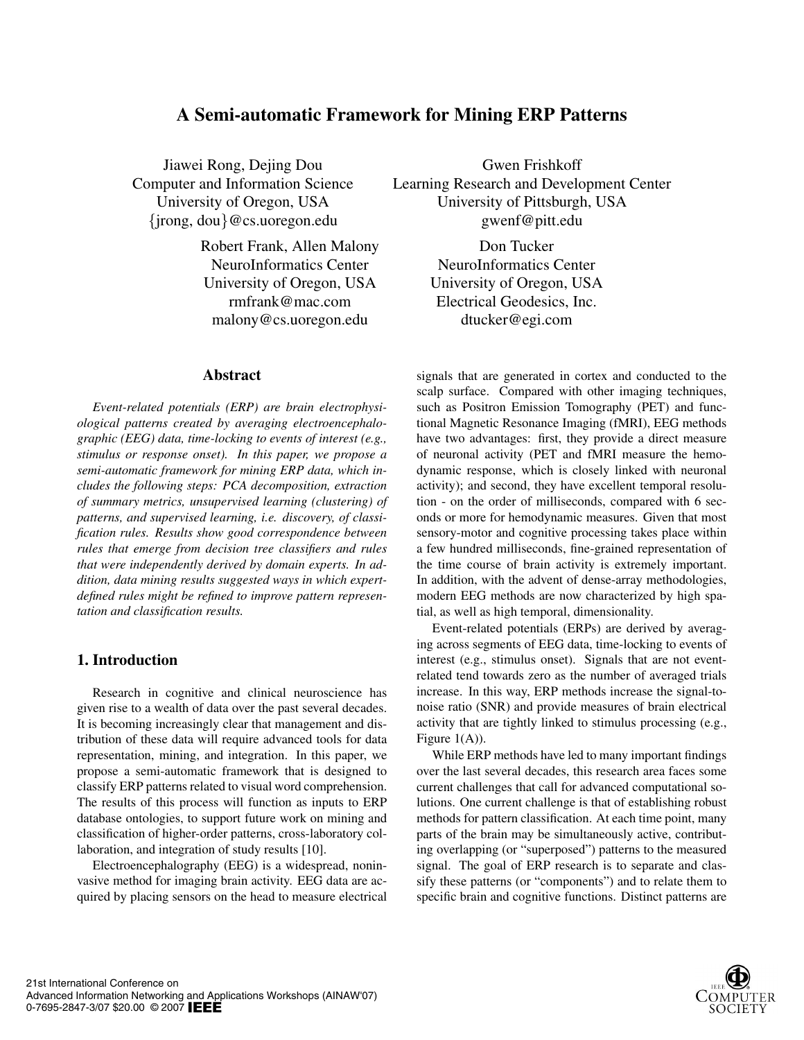# **A Semi-automatic Framework for Mining ERP Patterns**

Jiawei Rong, Dejing Dou Computer and Information Science University of Oregon, USA *{*jrong, dou*}*@cs.uoregon.edu

> Robert Frank, Allen Malony NeuroInformatics Center University of Oregon, USA rmfrank@mac.com malony@cs.uoregon.edu

### **Abstract**

*Event-related potentials (ERP) are brain electrophysiological patterns created by averaging electroencephalographic (EEG) data, time-locking to events of interest (e.g., stimulus or response onset). In this paper, we propose a semi-automatic framework for mining ERP data, which includes the following steps: PCA decomposition, extraction of summary metrics, unsupervised learning (clustering) of patterns, and supervised learning, i.e. discovery, of classification rules. Results show good correspondence between rules that emerge from decision tree classifiers and rules that were independently derived by domain experts. In addition, data mining results suggested ways in which expertdefined rules might be refined to improve pattern representation and classification results.*

# **1. Introduction**

Research in cognitive and clinical neuroscience has given rise to a wealth of data over the past several decades. It is becoming increasingly clear that management and distribution of these data will require advanced tools for data representation, mining, and integration. In this paper, we propose a semi-automatic framework that is designed to classify ERP patterns related to visual word comprehension. The results of this process will function as inputs to ERP database ontologies, to support future work on mining and classification of higher-order patterns, cross-laboratory collaboration, and integration of study results [10].

Electroencephalography (EEG) is a widespread, noninvasive method for imaging brain activity. EEG data are acquired by placing sensors on the head to measure electrical

Gwen Frishkoff Learning Research and Development Center University of Pittsburgh, USA gwenf@pitt.edu

> Don Tucker NeuroInformatics Center University of Oregon, USA Electrical Geodesics, Inc. dtucker@egi.com

signals that are generated in cortex and conducted to the scalp surface. Compared with other imaging techniques, such as Positron Emission Tomography (PET) and functional Magnetic Resonance Imaging (fMRI), EEG methods have two advantages: first, they provide a direct measure of neuronal activity (PET and fMRI measure the hemodynamic response, which is closely linked with neuronal activity); and second, they have excellent temporal resolution - on the order of milliseconds, compared with 6 seconds or more for hemodynamic measures. Given that most sensory-motor and cognitive processing takes place within a few hundred milliseconds, fine-grained representation of the time course of brain activity is extremely important. In addition, with the advent of dense-array methodologies, modern EEG methods are now characterized by high spatial, as well as high temporal, dimensionality.

Event-related potentials (ERPs) are derived by averaging across segments of EEG data, time-locking to events of interest (e.g., stimulus onset). Signals that are not eventrelated tend towards zero as the number of averaged trials increase. In this way, ERP methods increase the signal-tonoise ratio (SNR) and provide measures of brain electrical activity that are tightly linked to stimulus processing (e.g., Figure 1(A)).

While ERP methods have led to many important findings over the last several decades, this research area faces some current challenges that call for advanced computational solutions. One current challenge is that of establishing robust methods for pattern classification. At each time point, many parts of the brain may be simultaneously active, contributing overlapping (or "superposed") patterns to the measured signal. The goal of ERP research is to separate and classify these patterns (or "components") and to relate them to specific brain and cognitive functions. Distinct patterns are

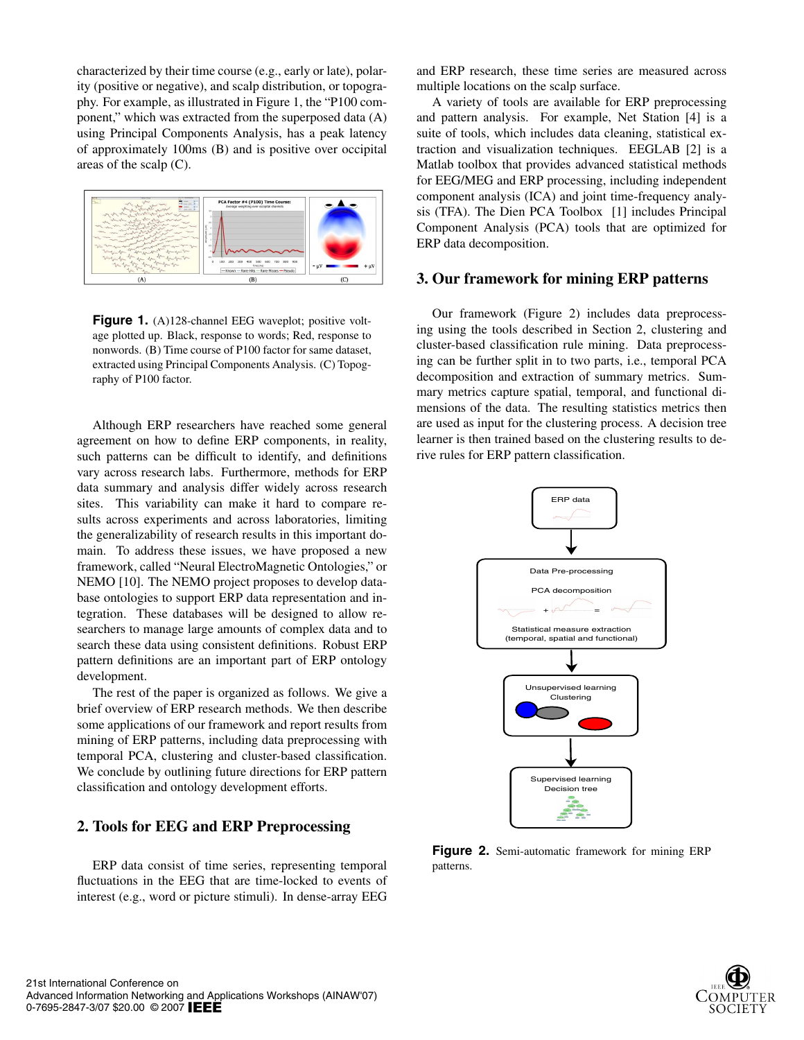characterized by their time course (e.g., early or late), polarity (positive or negative), and scalp distribution, or topography. For example, as illustrated in Figure 1, the "P100 component," which was extracted from the superposed data (A) using Principal Components Analysis, has a peak latency of approximately 100ms (B) and is positive over occipital areas of the scalp (C).



**Figure 1.** (A)128-channel EEG waveplot; positive voltage plotted up. Black, response to words; Red, response to nonwords. (B) Time course of P100 factor for same dataset, extracted using Principal Components Analysis. (C) Topography of P100 factor.

Although ERP researchers have reached some general agreement on how to define ERP components, in reality, such patterns can be difficult to identify, and definitions vary across research labs. Furthermore, methods for ERP data summary and analysis differ widely across research sites. This variability can make it hard to compare results across experiments and across laboratories, limiting the generalizability of research results in this important domain. To address these issues, we have proposed a new framework, called "Neural ElectroMagnetic Ontologies," or NEMO [10]. The NEMO project proposes to develop database ontologies to support ERP data representation and integration. These databases will be designed to allow researchers to manage large amounts of complex data and to search these data using consistent definitions. Robust ERP pattern definitions are an important part of ERP ontology development.

The rest of the paper is organized as follows. We give a brief overview of ERP research methods. We then describe some applications of our framework and report results from mining of ERP patterns, including data preprocessing with temporal PCA, clustering and cluster-based classification. We conclude by outlining future directions for ERP pattern classification and ontology development efforts.

### **2. Tools for EEG and ERP Preprocessing**

ERP data consist of time series, representing temporal fluctuations in the EEG that are time-locked to events of interest (e.g., word or picture stimuli). In dense-array EEG and ERP research, these time series are measured across multiple locations on the scalp surface.

A variety of tools are available for ERP preprocessing and pattern analysis. For example, Net Station [4] is a suite of tools, which includes data cleaning, statistical extraction and visualization techniques. EEGLAB [2] is a Matlab toolbox that provides advanced statistical methods for EEG/MEG and ERP processing, including independent component analysis (ICA) and joint time-frequency analysis (TFA). The Dien PCA Toolbox [1] includes Principal Component Analysis (PCA) tools that are optimized for ERP data decomposition.

### **3. Our framework for mining ERP patterns**

Our framework (Figure 2) includes data preprocessing using the tools described in Section 2, clustering and cluster-based classification rule mining. Data preprocessing can be further split in to two parts, i.e., temporal PCA decomposition and extraction of summary metrics. Summary metrics capture spatial, temporal, and functional dimensions of the data. The resulting statistics metrics then are used as input for the clustering process. A decision tree learner is then trained based on the clustering results to derive rules for ERP pattern classification.



**Figure 2.** Semi-automatic framework for mining ERP patterns.

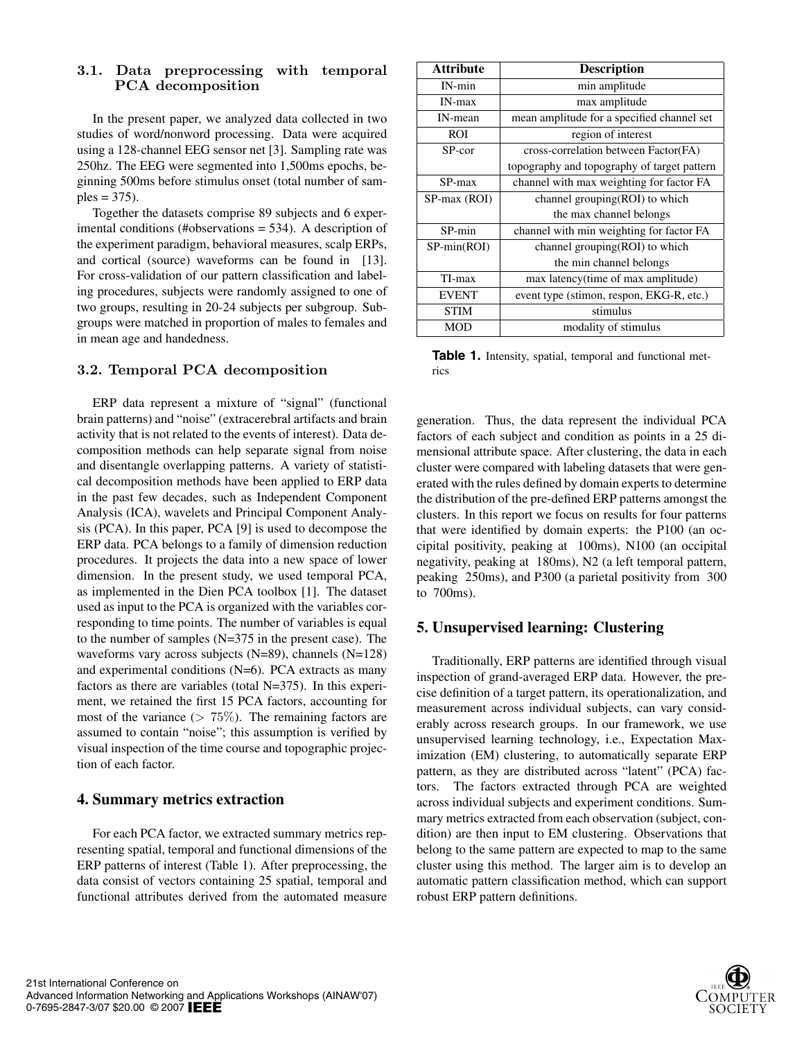# **3.1. Data preprocessing with temporal PCA decomposition**

In the present paper, we analyzed data collected in two studies of word/nonword processing. Data were acquired using a 128-channel EEG sensor net [3]. Sampling rate was 250hz. The EEG were segmented into 1,500ms epochs, beginning 500ms before stimulus onset (total number of sam $ples = 375$ ).

Together the datasets comprise 89 subjects and 6 experimental conditions (#observations = 534). A description of the experiment paradigm, behavioral measures, scalp ERPs, and cortical (source) waveforms can be found in [13]. For cross-validation of our pattern classification and labeling procedures, subjects were randomly assigned to one of two groups, resulting in 20-24 subjects per subgroup. Subgroups were matched in proportion of males to females and in mean age and handedness.

# **3.2. Temporal PCA decomposition**

ERP data represent a mixture of "signal" (functional brain patterns) and "noise" (extracerebral artifacts and brain activity that is not related to the events of interest). Data decomposition methods can help separate signal from noise and disentangle overlapping patterns. A variety of statistical decomposition methods have been applied to ERP data in the past few decades, such as Independent Component Analysis (ICA), wavelets and Principal Component Analysis (PCA). In this paper, PCA [9] is used to decompose the ERP data. PCA belongs to a family of dimension reduction procedures. It projects the data into a new space of lower dimension. In the present study, we used temporal PCA, as implemented in the Dien PCA toolbox [1]. The dataset used as input to the PCA is organized with the variables corresponding to time points. The number of variables is equal to the number of samples (N=375 in the present case). The waveforms vary across subjects (N=89), channels (N=128) and experimental conditions (N=6). PCA extracts as many factors as there are variables (total N=375). In this experiment, we retained the first 15 PCA factors, accounting for most of the variance ( $> 75\%$ ). The remaining factors are assumed to contain "noise"; this assumption is verified by visual inspection of the time course and topographic projection of each factor.

# **4. Summary metrics extraction**

For each PCA factor, we extracted summary metrics representing spatial, temporal and functional dimensions of the ERP patterns of interest (Table 1). After preprocessing, the data consist of vectors containing 25 spatial, temporal and functional attributes derived from the automated measure

| <b>Attribute</b> | <b>Description</b>                          |
|------------------|---------------------------------------------|
| IN-min           | min amplitude                               |
| IN-max           | max amplitude                               |
| IN-mean          | mean amplitude for a specified channel set  |
| <b>ROI</b>       | region of interest                          |
| SP-cor           | cross-correlation between Factor(FA)        |
|                  | topography and topography of target pattern |
| SP-max           | channel with max weighting for factor FA    |
| SP-max (ROI)     | channel grouping (ROI) to which             |
|                  | the max channel belongs                     |
| $SP-min$         | channel with min weighting for factor FA    |
| SP-min(ROI)      | channel grouping (ROI) to which             |
|                  | the min channel belongs                     |
| TI-max           | max latency(time of max amplitude)          |
| <b>EVENT</b>     | event type (stimon, respon, EKG-R, etc.)    |
| <b>STIM</b>      | stimulus                                    |
| MOD              | modality of stimulus                        |

**Table 1.** Intensity, spatial, temporal and functional metrics

generation. Thus, the data represent the individual PCA factors of each subject and condition as points in a 25 dimensional attribute space. After clustering, the data in each cluster were compared with labeling datasets that were generated with the rules defined by domain experts to determine the distribution of the pre-defined ERP patterns amongst the clusters. In this report we focus on results for four patterns that were identified by domain experts: the P100 (an occipital positivity, peaking at 100ms), N100 (an occipital negativity, peaking at 180ms), N2 (a left temporal pattern, peaking 250ms), and P300 (a parietal positivity from 300 to 700ms).

# **5. Unsupervised learning: Clustering**

Traditionally, ERP patterns are identified through visual inspection of grand-averaged ERP data. However, the precise definition of a target pattern, its operationalization, and measurement across individual subjects, can vary considerably across research groups. In our framework, we use unsupervised learning technology, i.e., Expectation Maximization (EM) clustering, to automatically separate ERP pattern, as they are distributed across "latent" (PCA) factors. The factors extracted through PCA are weighted across individual subjects and experiment conditions. Summary metrics extracted from each observation (subject, condition) are then input to EM clustering. Observations that belong to the same pattern are expected to map to the same cluster using this method. The larger aim is to develop an automatic pattern classification method, which can support robust ERP pattern definitions.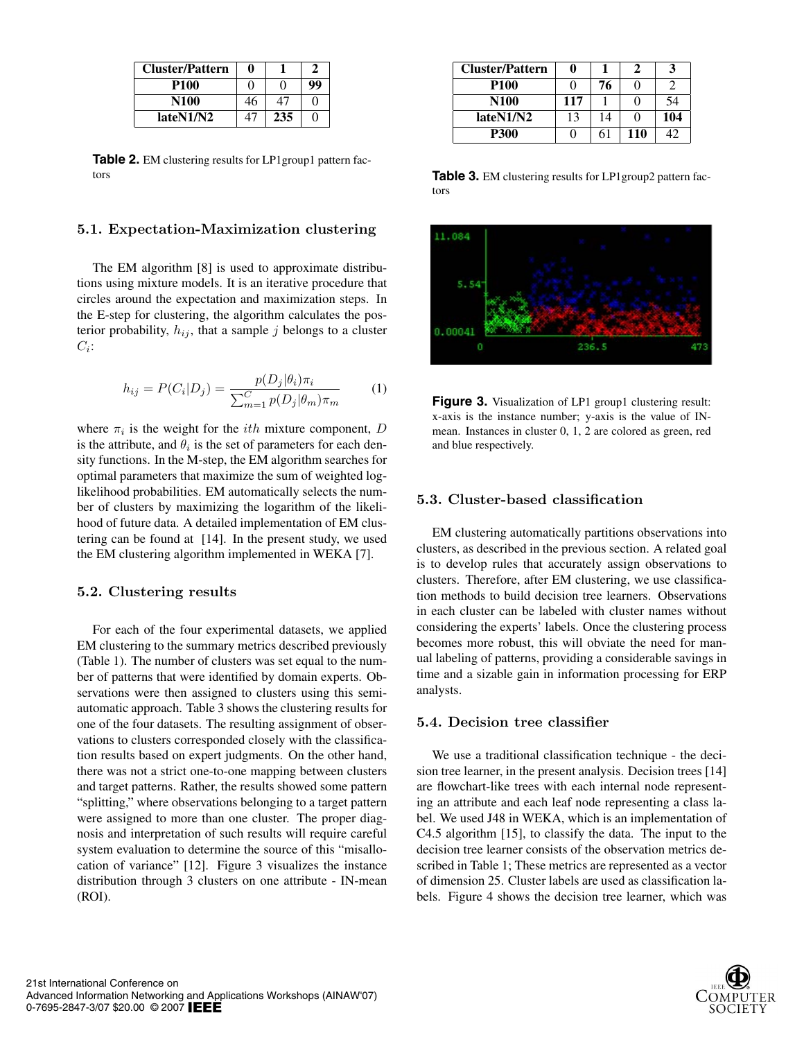| <b>Cluster/Pattern</b> | 0   |                   |    |
|------------------------|-----|-------------------|----|
| <b>P100</b>            | ∩   | $\mathbf{\Omega}$ | 99 |
| N100                   | 46  | 47                | ∩  |
| lateN1/N2              | Æ., | 235               | ∩  |

**Table 2.** EM clustering results for LP1group1 pattern factors

### **5.1. Expectation-Maximization clustering**

The EM algorithm [8] is used to approximate distributions using mixture models. It is an iterative procedure that circles around the expectation and maximization steps. In the E-step for clustering, the algorithm calculates the posterior probability,  $h_{ij}$ , that a sample  $j$  belongs to a cluster  $C_i$ :

$$
h_{ij} = P(C_i|D_j) = \frac{p(D_j|\theta_i)\pi_i}{\sum_{m=1}^{C} p(D_j|\theta_m)\pi_m}
$$
 (1)

where  $\pi_i$  is the weight for the *ith* mixture component, D is the attribute, and  $\theta_i$  is the set of parameters for each density functions. In the M-step, the EM algorithm searches for optimal parameters that maximize the sum of weighted loglikelihood probabilities. EM automatically selects the number of clusters by maximizing the logarithm of the likelihood of future data. A detailed implementation of EM clustering can be found at [14]. In the present study, we used the EM clustering algorithm implemented in WEKA [7].

#### **5.2. Clustering results**

For each of the four experimental datasets, we applied EM clustering to the summary metrics described previously (Table 1). The number of clusters was set equal to the number of patterns that were identified by domain experts. Observations were then assigned to clusters using this semiautomatic approach. Table 3 shows the clustering results for one of the four datasets. The resulting assignment of observations to clusters corresponded closely with the classification results based on expert judgments. On the other hand, there was not a strict one-to-one mapping between clusters and target patterns. Rather, the results showed some pattern "splitting," where observations belonging to a target pattern were assigned to more than one cluster. The proper diagnosis and interpretation of such results will require careful system evaluation to determine the source of this "misallocation of variance" [12]. Figure 3 visualizes the instance distribution through 3 clusters on one attribute - IN-mean (ROI).

| <b>Cluster/Pattern</b> | 0   |    | 2   |     |
|------------------------|-----|----|-----|-----|
| <b>P100</b>            |     | 76 |     |     |
| N100                   | 117 |    | 0   | 54  |
| lateN1/N2              | 13  | 14 | 0   | 104 |
| <b>P300</b>            |     | 61 | 110 | 12  |

**Table 3.** EM clustering results for LP1group2 pattern factors



**Figure 3.** Visualization of LP1 group1 clustering result: x-axis is the instance number; y-axis is the value of INmean. Instances in cluster 0, 1, 2 are colored as green, red and blue respectively.

#### **5.3. Cluster-based classification**

EM clustering automatically partitions observations into clusters, as described in the previous section. A related goal is to develop rules that accurately assign observations to clusters. Therefore, after EM clustering, we use classification methods to build decision tree learners. Observations in each cluster can be labeled with cluster names without considering the experts' labels. Once the clustering process becomes more robust, this will obviate the need for manual labeling of patterns, providing a considerable savings in time and a sizable gain in information processing for ERP analysts.

#### **5.4. Decision tree classifier**

We use a traditional classification technique - the decision tree learner, in the present analysis. Decision trees [14] are flowchart-like trees with each internal node representing an attribute and each leaf node representing a class label. We used J48 in WEKA, which is an implementation of C4.5 algorithm [15], to classify the data. The input to the decision tree learner consists of the observation metrics described in Table 1; These metrics are represented as a vector of dimension 25. Cluster labels are used as classification labels. Figure 4 shows the decision tree learner, which was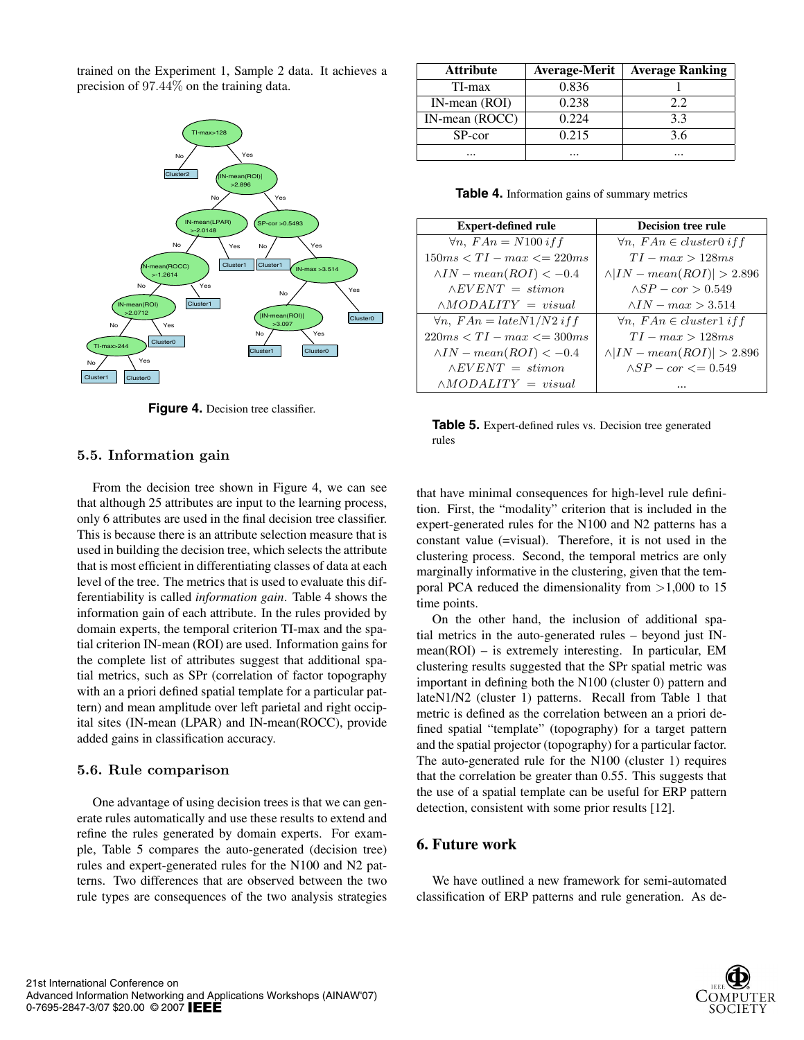trained on the Experiment 1, Sample 2 data. It achieves a precision of 97.44% on the training data.



**Figure 4.** Decision tree classifier.

### **5.5. Information gain**

From the decision tree shown in Figure 4, we can see that although 25 attributes are input to the learning process, only 6 attributes are used in the final decision tree classifier. This is because there is an attribute selection measure that is used in building the decision tree, which selects the attribute that is most efficient in differentiating classes of data at each level of the tree. The metrics that is used to evaluate this differentiability is called *information gain*. Table 4 shows the information gain of each attribute. In the rules provided by domain experts, the temporal criterion TI-max and the spatial criterion IN-mean (ROI) are used. Information gains for the complete list of attributes suggest that additional spatial metrics, such as SPr (correlation of factor topography with an a priori defined spatial template for a particular pattern) and mean amplitude over left parietal and right occipital sites (IN-mean (LPAR) and IN-mean(ROCC), provide added gains in classification accuracy.

#### **5.6. Rule comparison**

One advantage of using decision trees is that we can generate rules automatically and use these results to extend and refine the rules generated by domain experts. For example, Table 5 compares the auto-generated (decision tree) rules and expert-generated rules for the N100 and N2 patterns. Two differences that are observed between the two rule types are consequences of the two analysis strategies

| <b>Attribute</b> | <b>Average-Merit</b> | <b>Average Ranking</b> |
|------------------|----------------------|------------------------|
| TI-max           | 0.836                |                        |
| $IN-mean (ROI)$  | 0.238                | 22                     |
| IN-mean (ROCC)   | 0.224                | 3.3                    |
| SP-cor           | 0.215                | 3.6                    |
| $\cdots$         | $\cdots$             | $\cdots$               |

|  |  | Table 4. Information gains of summary metrics |  |  |  |
|--|--|-----------------------------------------------|--|--|--|
|--|--|-----------------------------------------------|--|--|--|

| <b>Expert-defined rule</b>           | Decision tree rule                                 |
|--------------------------------------|----------------------------------------------------|
| $\forall n$ , $FAn = N100$ if f      | $\forall n, \; FAn \in cluster0 \; iff$            |
| $150ms < TI - max \leq 220ms$        | $TI - max > 128ms$                                 |
| $\land IN - mean(ROI) < -0.4$        | $\wedge$ [ <i>IN</i> – mean( <i>ROI</i> )] > 2.896 |
| $\land$ EV ENT = stimon              | $\wedge SP - cor > 0.549$                          |
| $\land MODALITY = visual$            | $\land IN - max > 3.514$                           |
| $\forall n$ , $FAn = lateN1/N2$ if f | $\forall n, \; FAn \in cluster1 \; iff$            |
| $220ms < TI - max \leq 300ms$        | $TI - max > 128ms$                                 |
| $\land IN - mean(ROI) < -0.4$        | $\wedge$ [ <i>IN</i> – mean( <i>ROI</i> )] > 2.896 |
| $\wedge$ EVENT = stimon              | $\wedge SP - cor \langle = 0.549$                  |
| $\land MODALITY = visual$            |                                                    |

**Table 5.** Expert-defined rules vs. Decision tree generated rules

that have minimal consequences for high-level rule definition. First, the "modality" criterion that is included in the expert-generated rules for the N100 and N2 patterns has a constant value (=visual). Therefore, it is not used in the clustering process. Second, the temporal metrics are only marginally informative in the clustering, given that the temporal PCA reduced the dimensionality from >1,000 to 15 time points.

On the other hand, the inclusion of additional spatial metrics in the auto-generated rules – beyond just INmean(ROI) – is extremely interesting. In particular, EM clustering results suggested that the SPr spatial metric was important in defining both the N100 (cluster 0) pattern and lateN1/N2 (cluster 1) patterns. Recall from Table 1 that metric is defined as the correlation between an a priori defined spatial "template" (topography) for a target pattern and the spatial projector (topography) for a particular factor. The auto-generated rule for the N100 (cluster 1) requires that the correlation be greater than 0.55. This suggests that the use of a spatial template can be useful for ERP pattern detection, consistent with some prior results [12].

#### **6. Future work**

We have outlined a new framework for semi-automated classification of ERP patterns and rule generation. As de-